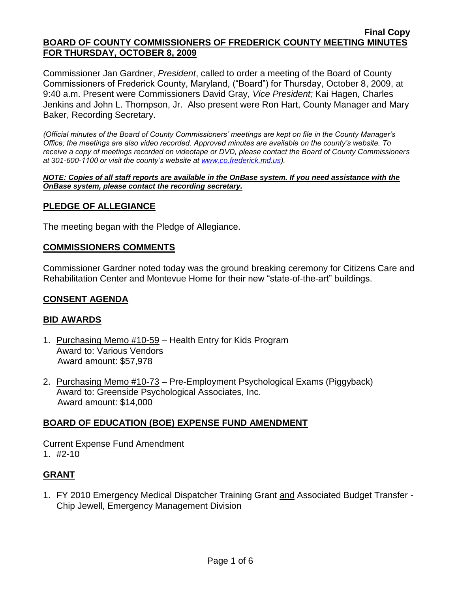Commissioner Jan Gardner, *President*, called to order a meeting of the Board of County Commissioners of Frederick County, Maryland, ("Board") for Thursday, October 8, 2009, at 9:40 a.m. Present were Commissioners David Gray, *Vice President;* Kai Hagen, Charles Jenkins and John L. Thompson, Jr. Also present were Ron Hart, County Manager and Mary Baker, Recording Secretary.

*(Official minutes of the Board of County Commissioners' meetings are kept on file in the County Manager's Office; the meetings are also video recorded. Approved minutes are available on the county's website. To receive a copy of meetings recorded on videotape or DVD, please contact the Board of County Commissioners at 301-600-1100 or visit the county's website at [www.co.frederick.md.us\)](http://www.co.frederick.md.us/).*

*NOTE: Copies of all staff reports are available in the OnBase system. If you need assistance with the OnBase system, please contact the recording secretary.*

# **PLEDGE OF ALLEGIANCE**

The meeting began with the Pledge of Allegiance.

### **COMMISSIONERS COMMENTS**

Commissioner Gardner noted today was the ground breaking ceremony for Citizens Care and Rehabilitation Center and Montevue Home for their new "state-of-the-art" buildings.

### **CONSENT AGENDA**

### **BID AWARDS**

- 1. Purchasing Memo #10-59 Health Entry for Kids Program Award to: Various Vendors Award amount: \$57,978
- 2. Purchasing Memo #10-73 Pre-Employment Psychological Exams (Piggyback) Award to: Greenside Psychological Associates, Inc. Award amount: \$14,000

# **BOARD OF EDUCATION (BOE) EXPENSE FUND AMENDMENT**

Current Expense Fund Amendment 1. #2-10

# **GRANT**

1. FY 2010 Emergency Medical Dispatcher Training Grant and Associated Budget Transfer - Chip Jewell, Emergency Management Division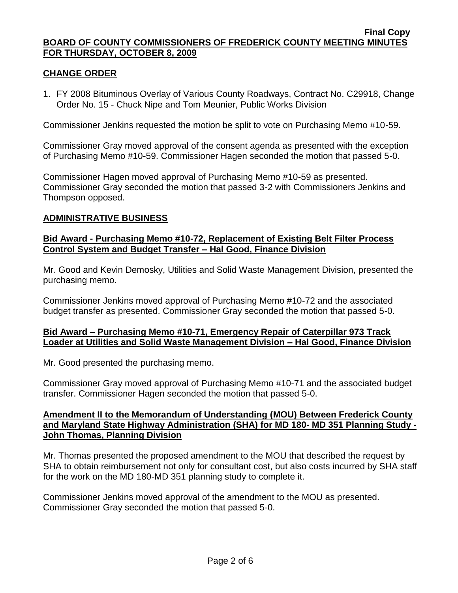# **CHANGE ORDER**

1. FY 2008 Bituminous Overlay of Various County Roadways, Contract No. C29918, Change Order No. 15 - Chuck Nipe and Tom Meunier, Public Works Division

Commissioner Jenkins requested the motion be split to vote on Purchasing Memo #10-59.

Commissioner Gray moved approval of the consent agenda as presented with the exception of Purchasing Memo #10-59. Commissioner Hagen seconded the motion that passed 5-0.

Commissioner Hagen moved approval of Purchasing Memo #10-59 as presented. Commissioner Gray seconded the motion that passed 3-2 with Commissioners Jenkins and Thompson opposed.

# **ADMINISTRATIVE BUSINESS**

# **Bid Award - Purchasing Memo #10-72, Replacement of Existing Belt Filter Process Control System and Budget Transfer – Hal Good, Finance Division**

Mr. Good and Kevin Demosky, Utilities and Solid Waste Management Division, presented the purchasing memo.

Commissioner Jenkins moved approval of Purchasing Memo #10-72 and the associated budget transfer as presented. Commissioner Gray seconded the motion that passed 5-0.

# **Bid Award – Purchasing Memo #10-71, Emergency Repair of Caterpillar 973 Track Loader at Utilities and Solid Waste Management Division – Hal Good, Finance Division**

Mr. Good presented the purchasing memo.

Commissioner Gray moved approval of Purchasing Memo #10-71 and the associated budget transfer. Commissioner Hagen seconded the motion that passed 5-0.

### **Amendment II to the Memorandum of Understanding (MOU) Between Frederick County and Maryland State Highway Administration (SHA) for MD 180- MD 351 Planning Study - John Thomas, Planning Division**

Mr. Thomas presented the proposed amendment to the MOU that described the request by SHA to obtain reimbursement not only for consultant cost, but also costs incurred by SHA staff for the work on the MD 180-MD 351 planning study to complete it.

Commissioner Jenkins moved approval of the amendment to the MOU as presented. Commissioner Gray seconded the motion that passed 5-0.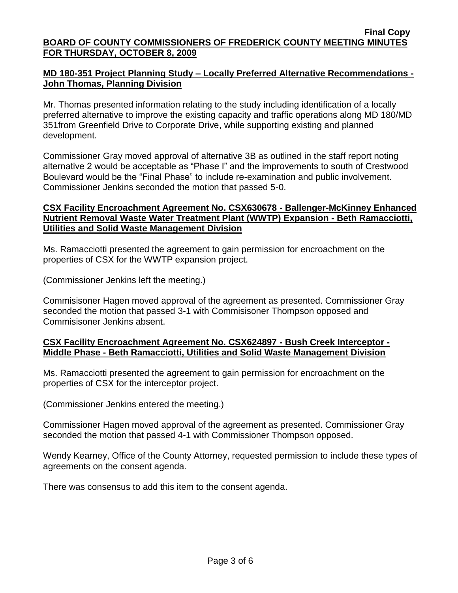# **MD 180-351 Project Planning Study – Locally Preferred Alternative Recommendations - John Thomas, Planning Division**

Mr. Thomas presented information relating to the study including identification of a locally preferred alternative to improve the existing capacity and traffic operations along MD 180/MD 351from Greenfield Drive to Corporate Drive, while supporting existing and planned development.

Commissioner Gray moved approval of alternative 3B as outlined in the staff report noting alternative 2 would be acceptable as "Phase I" and the improvements to south of Crestwood Boulevard would be the "Final Phase" to include re-examination and public involvement. Commissioner Jenkins seconded the motion that passed 5-0.

# **CSX Facility Encroachment Agreement No. CSX630678 - Ballenger-McKinney Enhanced Nutrient Removal Waste Water Treatment Plant (WWTP) Expansion - Beth Ramacciotti, Utilities and Solid Waste Management Division**

Ms. Ramacciotti presented the agreement to gain permission for encroachment on the properties of CSX for the WWTP expansion project.

(Commissioner Jenkins left the meeting.)

Commisisoner Hagen moved approval of the agreement as presented. Commissioner Gray seconded the motion that passed 3-1 with Commisisoner Thompson opposed and Commisisoner Jenkins absent.

# **CSX Facility Encroachment Agreement No. CSX624897 - Bush Creek Interceptor - Middle Phase - Beth Ramacciotti, Utilities and Solid Waste Management Division**

Ms. Ramacciotti presented the agreement to gain permission for encroachment on the properties of CSX for the interceptor project.

(Commissioner Jenkins entered the meeting.)

Commissioner Hagen moved approval of the agreement as presented. Commissioner Gray seconded the motion that passed 4-1 with Commissioner Thompson opposed.

Wendy Kearney, Office of the County Attorney, requested permission to include these types of agreements on the consent agenda.

There was consensus to add this item to the consent agenda.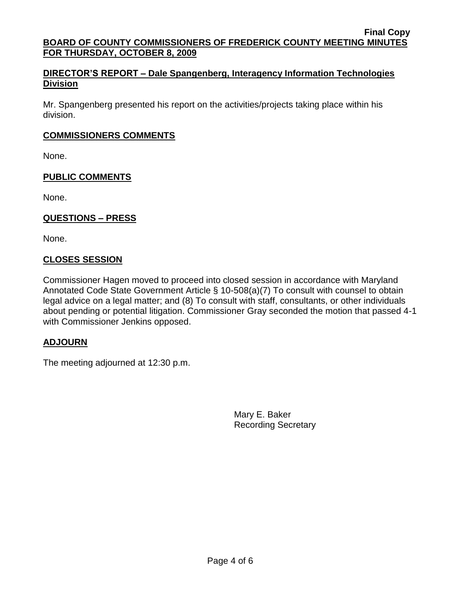# **DIRECTOR'S REPORT – Dale Spangenberg, Interagency Information Technologies Division**

Mr. Spangenberg presented his report on the activities/projects taking place within his division.

# **COMMISSIONERS COMMENTS**

None.

# **PUBLIC COMMENTS**

None.

# **QUESTIONS – PRESS**

None.

# **CLOSES SESSION**

Commissioner Hagen moved to proceed into closed session in accordance with Maryland Annotated Code State Government Article § 10-508(a)(7) To consult with counsel to obtain legal advice on a legal matter; and (8) To consult with staff, consultants, or other individuals about pending or potential litigation. Commissioner Gray seconded the motion that passed 4-1 with Commissioner Jenkins opposed.

# **ADJOURN**

The meeting adjourned at 12:30 p.m.

Mary E. Baker Recording Secretary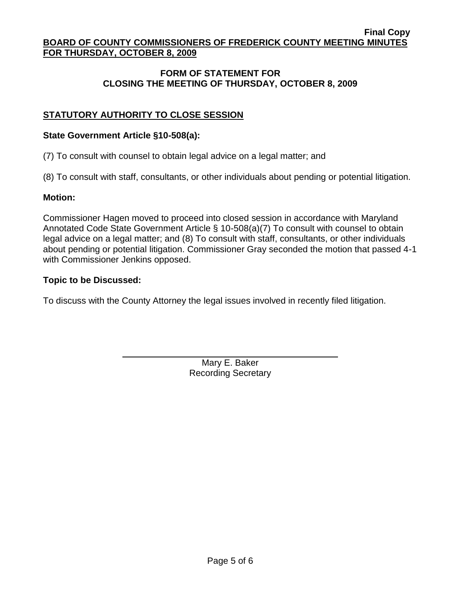# **FORM OF STATEMENT FOR CLOSING THE MEETING OF THURSDAY, OCTOBER 8, 2009**

# **STATUTORY AUTHORITY TO CLOSE SESSION**

### **State Government Article §10-508(a):**

(7) To consult with counsel to obtain legal advice on a legal matter; and

(8) To consult with staff, consultants, or other individuals about pending or potential litigation.

### **Motion:**

Commissioner Hagen moved to proceed into closed session in accordance with Maryland Annotated Code State Government Article § 10-508(a)(7) To consult with counsel to obtain legal advice on a legal matter; and (8) To consult with staff, consultants, or other individuals about pending or potential litigation. Commissioner Gray seconded the motion that passed 4-1 with Commissioner Jenkins opposed.

### **Topic to be Discussed:**

To discuss with the County Attorney the legal issues involved in recently filed litigation.

Mary E. Baker Recording Secretary